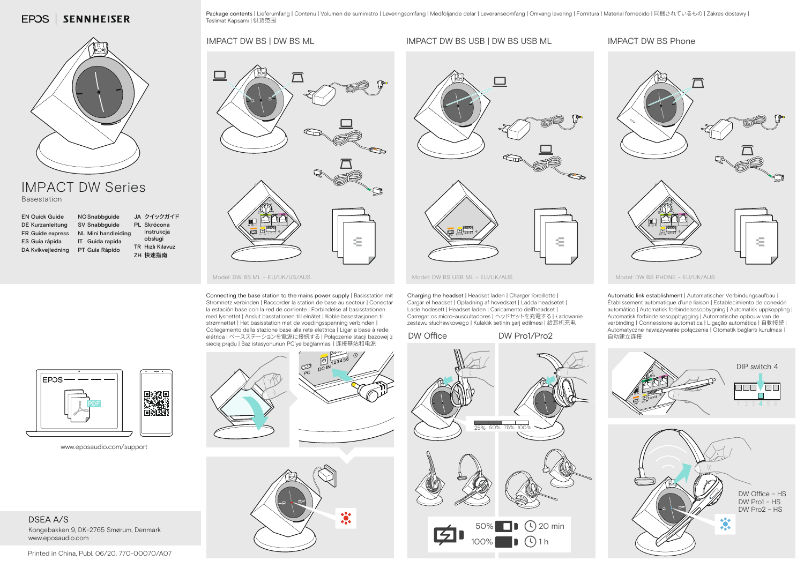**EPOS | SENNHEISER** 

Package contents | Lieferumfang | Contenu | Volumen de suministro | Leveringsomfang | Medföljande delar | Leveranseomfang | Omvang levering | Fornitura | Material fornecido | 同梱されているもの | Zakres dostawy | Teslimat Kapsamı | 供货范围

IMPACT DW BS USB | DW BS USB ML IMPACT DW BS Phone

## IMPACT DW BS | DW BS ML



## IMPACT DW Series Basestation

| <b>EN Quick Guide</b>   | NO Snabbguide       | JA クイックガイド              |
|-------------------------|---------------------|-------------------------|
| <b>DE Kurzanleitung</b> | SV Snabbguide       | PL Skrócona             |
| FR Guide express        | NL Mini handleiding | instrukcja              |
| ES Guía rápida          | IT Guida rapida     | obsługi                 |
| DA Kvikvejledning       | PT Guia Rápido      | <b>TR</b> Hizli Kilavuz |
|                         |                     | ZH 快速指南                 |



Model: DW BS ML – EU/UK/US/AUS MUSIC MODEL: DW BS USB ML – EU/UK/AUS MODEL: DW BS PHONE – EU/UK/AUS

Connecting the base station to the mains power supply | Basisstation mit Stromnetz verbinden | Raccorder la station de base au secteur | Conectar la estación base con la red de corriente | Forbindelse af basisstationen med lysnettet | Anslut basstationen till elnätet | Koble basestasjonen til strømnettet | Het basisstation met de voedingsspanning verbinden | Collegamento della stazione base alla rete elettrica | Ligar a base à rede elétrica | ベースステーションを電源に接続する | Połączenie stacji bazowej z siecią prądu | Baz istasyonunun PC'ye bağlanması | 连接基站和电源

□  $\blacksquare$   $\blacksquare$ 

Charging the headset | Headset laden | Charger l'oreillette | Cargar el headset | Opladning af hovedsæt | Ladda headsetet | Lade hodesett | Headset laden | Caricamento dell'headset | Carregar os micro-auscultadores | ヘッドセットを充電する | Ładowanie zestawu słuchawkowego | Kulaklık setinin şarj edilmesi | 给耳机充电



Automatic link establishment | Automatischer Verbindungsaufbau | Établissement automatique d'une liaison | Establecimiento de conexión automático | Automatisk forbindelsesopbygning | Automatisk uppkoppling | Automatisk forbindelsesoppbygging | Automatische opbouw van de verbinding | Connessione automatica | Ligação automática | 白動接続 | Automatyczne nawiązywanie połączenia | Otomatik bağlantı kurulması | 自动建立连接



www.eposaudio.com/support

DSEA A/S Kongebakken 9, DK-2765 Smørum, Denmark www.eposaudio.com